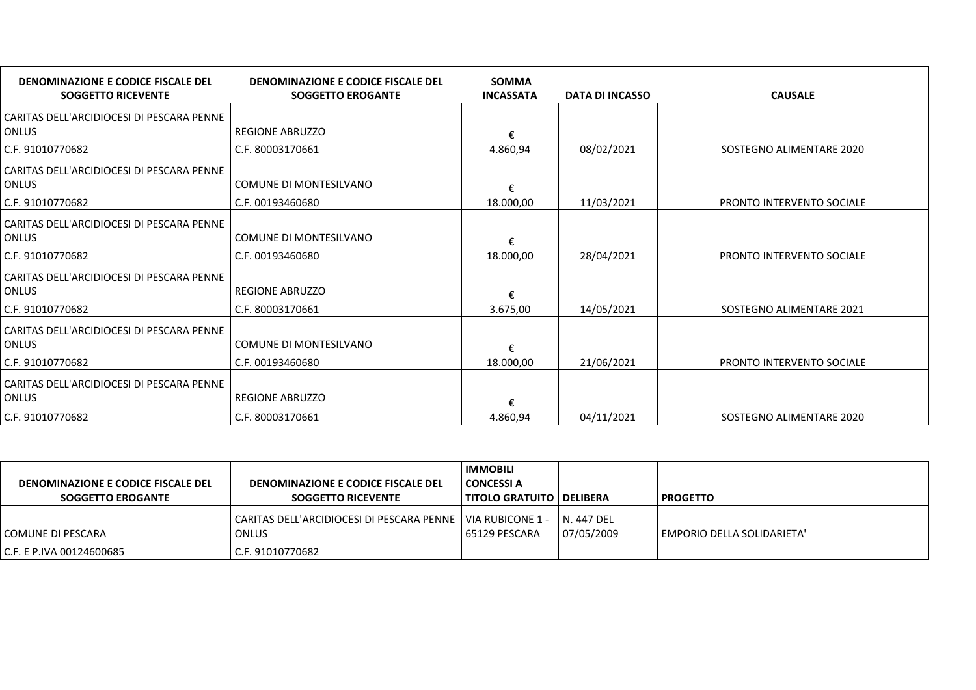| DENOMINAZIONE E CODICE FISCALE DEL<br><b>SOGGETTO RICEVENTE</b> | DENOMINAZIONE E CODICE FISCALE DEL<br><b>SOGGETTO EROGANTE</b> | <b>SOMMA</b><br><b>INCASSATA</b> | <b>DATA DI INCASSO</b> | <b>CAUSALE</b>            |
|-----------------------------------------------------------------|----------------------------------------------------------------|----------------------------------|------------------------|---------------------------|
| CARITAS DELL'ARCIDIOCESI DI PESCARA PENNE                       |                                                                |                                  |                        |                           |
| ONLUS                                                           | <b>REGIONE ABRUZZO</b>                                         | €                                |                        |                           |
| C.F. 91010770682                                                | C.F. 80003170661                                               | 4.860,94                         | 08/02/2021             | SOSTEGNO ALIMENTARE 2020  |
| CARITAS DELL'ARCIDIOCESI DI PESCARA PENNE                       |                                                                |                                  |                        |                           |
| ONLUS                                                           | COMUNE DI MONTESILVANO                                         | €                                |                        |                           |
| C.F. 91010770682                                                | C.F. 00193460680                                               | 18.000,00                        | 11/03/2021             | PRONTO INTERVENTO SOCIALE |
| CARITAS DELL'ARCIDIOCESI DI PESCARA PENNE                       |                                                                |                                  |                        |                           |
| ONLUS                                                           | COMUNE DI MONTESILVANO                                         | €                                |                        |                           |
| C.F. 91010770682                                                | C.F. 00193460680                                               | 18.000.00                        | 28/04/2021             | PRONTO INTERVENTO SOCIALE |
| CARITAS DELL'ARCIDIOCESI DI PESCARA PENNE                       |                                                                |                                  |                        |                           |
| <b>ONLUS</b>                                                    | <b>REGIONE ABRUZZO</b>                                         | €                                |                        |                           |
| C.F. 91010770682                                                | C.F. 80003170661                                               | 3.675,00                         | 14/05/2021             | SOSTEGNO ALIMENTARE 2021  |
| CARITAS DELL'ARCIDIOCESI DI PESCARA PENNE                       |                                                                |                                  |                        |                           |
| ONLUS                                                           | COMUNE DI MONTESILVANO                                         | €                                |                        |                           |
| C.F. 91010770682                                                | C.F. 00193460680                                               | 18.000,00                        | 21/06/2021             | PRONTO INTERVENTO SOCIALE |
| CARITAS DELL'ARCIDIOCESI DI PESCARA PENNE                       |                                                                |                                  |                        |                           |
| ONLUS                                                           | <b>REGIONE ABRUZZO</b>                                         | €                                |                        |                           |
| C.F. 91010770682                                                | C.F. 80003170661                                               | 4.860,94                         | 04/11/2021             | SOSTEGNO ALIMENTARE 2020  |

| DENOMINAZIONE E CODICE FISCALE DEL<br><b>SOGGETTO EROGANTE</b> | DENOMINAZIONE E CODICE FISCALE DEL<br><b>SOGGETTO RICEVENTE</b>              | <b>IMMOBILI</b><br><b>CONCESSI A</b><br><b>TITOLO GRATUITO   DELIBERA</b> |                           | PROGETTO                   |
|----------------------------------------------------------------|------------------------------------------------------------------------------|---------------------------------------------------------------------------|---------------------------|----------------------------|
| COMUNE DI PESCARA                                              | CARITAS DELL'ARCIDIOCESI DI PESCARA PENNE   VIA RUBICONE 1 -<br><b>ONLUS</b> | 65129 PESCARA                                                             | N. 447 DEL<br> 07/05/2009 | EMPORIO DELLA SOLIDARIETA' |
| C.F. E P.IVA 00124600685                                       | C.F. 91010770682                                                             |                                                                           |                           |                            |